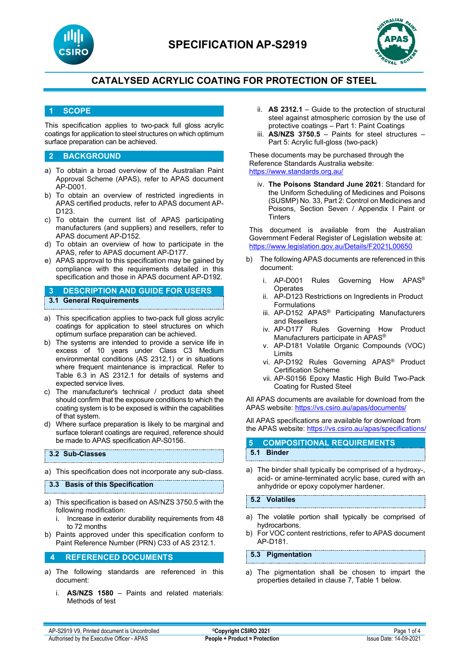



### **1 SCOPE**

This specification applies to two-pack full gloss acrylic coatings for application to steel structures on which optimum surface preparation can be achieved.

#### **2 BACKGROUND**

- a) To obtain a broad overview of the Australian Paint Approval Scheme (APAS), refer to APAS document AP-D001.
- b) To obtain an overview of restricted ingredients in APAS certified products, refer to APAS document AP-D123.
- c) To obtain the current list of APAS participating manufacturers (and suppliers) and resellers, refer to APAS document AP-D152.
- d) To obtain an overview of how to participate in the APAS, refer to APAS document AP-D177.
- e) APAS approval to this specification may be gained by compliance with the requirements detailed in this specification and those in APAS document AP-D192.

**3 DESCRIPTION AND GUIDE FOR USERS 3.1 General Requirements**

- a) This specification applies to two-pack full gloss acrylic coatings for application to steel structures on which optimum surface preparation can be achieved.
- b) The systems are intended to provide a service life in excess of 10 years under Class C3 Medium environmental conditions (AS 2312.1) or in situations where frequent maintenance is impractical. Refer to Table 6.3 in AS 2312.1 for details of systems and expected service lives.
- c) The manufacturer's technical / product data sheet should confirm that the exposure conditions to which the coating system is to be exposed is within the capabilities of that system.
- d) Where surface preparation is likely to be marginal and surface tolerant coatings are required, reference should be made to APAS specification AP-S0156.

#### **3.2 Sub-Classes**

a) This specification does not incorporate any sub-class.

#### **3.3 Basis of this Specification**

- a) This specification is based on AS/NZS 3750.5 with the following modification:
	- i. Increase in exterior durability requirements from 48 to 72 months
- b) Paints approved under this specification conform to Paint Reference Number (PRN) C33 of AS 2312.1.

#### **4 REFERENCED DOCUMENTS**

- a) The following standards are referenced in this document:
	- i. **AS/NZS 1580** Paints and related materials: Methods of test
- ii. **AS 2312.1** Guide to the protection of structural steel against atmospheric corrosion by the use of protective coatings – Part 1: Paint Coatings
- iii. **AS/NZS 3750.5** Paints for steel structures Part 5: Acrylic full-gloss (two-pack)

These documents may be purchased through the Reference Standards Australia website: <https://www.standards.org.au/>

iv. **The Poisons Standard June 2021**: Standard for the Uniform Scheduling of Medicines and Poisons (SUSMP) No. 33, Part 2: Control on Medicines and Poisons, Section Seven / Appendix I Paint or **Tinters** 

This document is available from the Australian Government Federal Register of Legislation website at: <https://www.legislation.gov.au/Details/F2021L00650>

- The following APAS documents are referenced in this document:
	- i. AP-D001 Rules Governing How APAS® **Operates**
	- ii. AP-D123 Restrictions on Ingredients in Product Formulations
	- iii. AP-D152 APAS® Participating Manufacturers and Resellers
	- iv. AP-D177 Rules Governing How Product Manufacturers participate in APAS®
	- v. AP-D181 Volatile Organic Compounds (VOC) Limits
	- vi. AP-D192 Rules Governing APAS® Product Certification Scheme
	- vii. AP-S0156 Epoxy Mastic High Build Two-Pack Coating for Rusted Steel

All APAS documents are available for download from the APAS website: <https://vs.csiro.au/apas/documents/>

All APAS specifications are available for download from the APAS website: <https://vs.csiro.au/apas/specifications/>

### **5 COMPOSITIONAL REQUIREMENTS 5.1 Binder**

a) The binder shall typically be comprised of a hydroxy-, acid- or amine-terminated acrylic base, cured with an anhydride or epoxy copolymer hardener.

### **5.2 Volatiles**

- a) The volatile portion shall typically be comprised of hydrocarbons.
- b) For VOC content restrictions, refer to APAS document AP-D181.

#### **5.3 Pigmentation**

a) The pigmentation shall be chosen to impart the properties detailed in clause 7, Table 1 below.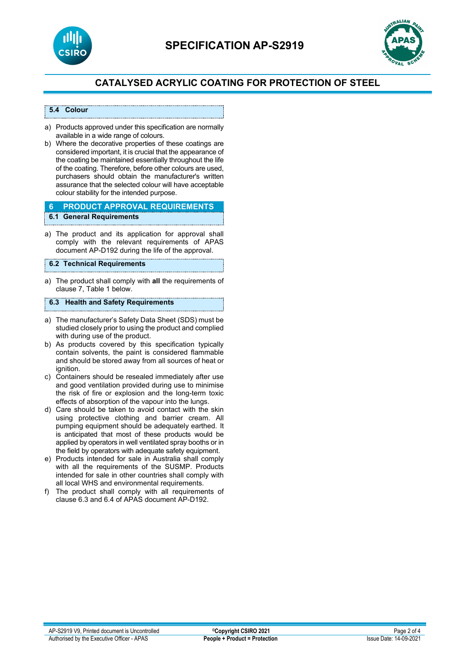



#### **5.4 Colour**

- a) Products approved under this specification are normally available in a wide range of colours.
- b) Where the decorative properties of these coatings are considered important, it is crucial that the appearance of the coating be maintained essentially throughout the life of the coating. Therefore, before other colours are used, purchasers should obtain the manufacturer's written assurance that the selected colour will have acceptable colour stability for the intended purpose.

#### **6 PRODUCT APPROVAL REQUIREMENTS 6.1 General Requirements**

a) The product and its application for approval shall comply with the relevant requirements of APAS document AP-D192 during the life of the approval.

#### **6.2 Technical Requirements**

a) The product shall comply with **all** the requirements of clause 7, Table 1 below.

## **6.3 Health and Safety Requirements**

- a) The manufacturer's Safety Data Sheet (SDS) must be studied closely prior to using the product and complied with during use of the product.
- b) As products covered by this specification typically contain solvents, the paint is considered flammable and should be stored away from all sources of heat or ianition.
- c) Containers should be resealed immediately after use and good ventilation provided during use to minimise the risk of fire or explosion and the long-term toxic effects of absorption of the vapour into the lungs.
- d) Care should be taken to avoid contact with the skin using protective clothing and barrier cream. All pumping equipment should be adequately earthed. It is anticipated that most of these products would be applied by operators in well ventilated spray booths or in the field by operators with adequate safety equipment.
- e) Products intended for sale in Australia shall comply with all the requirements of the SUSMP. Products intended for sale in other countries shall comply with all local WHS and environmental requirements.
- f) The product shall comply with all requirements of clause 6.3 and 6.4 of APAS document AP-D192.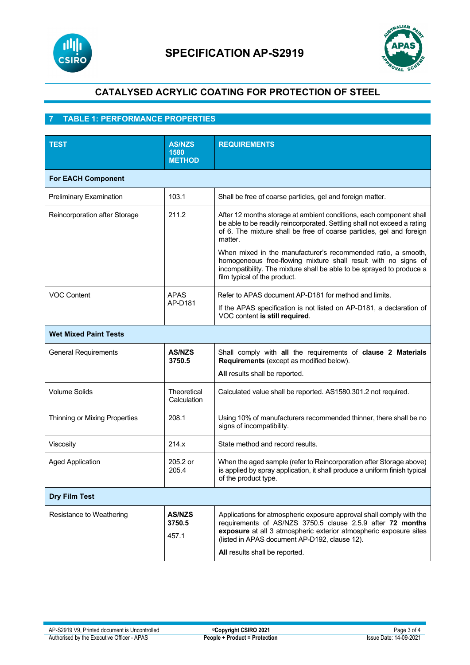



# **7 TABLE 1: PERFORMANCE PROPERTIES**

| <b>TEST</b>                    | <b>AS/NZS</b><br>1580<br><b>METHOD</b> | <b>REQUIREMENTS</b>                                                                                                                                                                                                                                                                        |  |
|--------------------------------|----------------------------------------|--------------------------------------------------------------------------------------------------------------------------------------------------------------------------------------------------------------------------------------------------------------------------------------------|--|
| <b>For EACH Component</b>      |                                        |                                                                                                                                                                                                                                                                                            |  |
| <b>Preliminary Examination</b> | 103.1                                  | Shall be free of coarse particles, gel and foreign matter.                                                                                                                                                                                                                                 |  |
| Reincorporation after Storage  | 211.2                                  | After 12 months storage at ambient conditions, each component shall<br>be able to be readily reincorporated. Settling shall not exceed a rating<br>of 6. The mixture shall be free of coarse particles, gel and foreign<br>matter.                                                         |  |
|                                |                                        | When mixed in the manufacturer's recommended ratio, a smooth,<br>homogeneous free-flowing mixture shall result with no signs of<br>incompatibility. The mixture shall be able to be sprayed to produce a<br>film typical of the product.                                                   |  |
| <b>VOC Content</b>             | <b>APAS</b><br>AP-D181                 | Refer to APAS document AP-D181 for method and limits.                                                                                                                                                                                                                                      |  |
|                                |                                        | If the APAS specification is not listed on AP-D181, a declaration of<br>VOC content is still required.                                                                                                                                                                                     |  |
| <b>Wet Mixed Paint Tests</b>   |                                        |                                                                                                                                                                                                                                                                                            |  |
| <b>General Requirements</b>    | <b>AS/NZS</b><br>3750.5                | Shall comply with all the requirements of clause 2 Materials<br>Requirements (except as modified below).                                                                                                                                                                                   |  |
|                                |                                        | All results shall be reported.                                                                                                                                                                                                                                                             |  |
| <b>Volume Solids</b>           | Theoretical<br>Calculation             | Calculated value shall be reported. AS1580.301.2 not required.                                                                                                                                                                                                                             |  |
| Thinning or Mixing Properties  | 208.1                                  | Using 10% of manufacturers recommended thinner, there shall be no<br>signs of incompatibility.                                                                                                                                                                                             |  |
| Viscosity                      | 214.x                                  | State method and record results.                                                                                                                                                                                                                                                           |  |
| <b>Aged Application</b>        | 205.2 or<br>205.4                      | When the aged sample (refer to Reincorporation after Storage above)<br>is applied by spray application, it shall produce a uniform finish typical<br>of the product type.                                                                                                                  |  |
| <b>Dry Film Test</b>           |                                        |                                                                                                                                                                                                                                                                                            |  |
| Resistance to Weathering       | <b>AS/NZS</b><br>3750.5<br>457.1       | Applications for atmospheric exposure approval shall comply with the<br>requirements of AS/NZS 3750.5 clause 2.5.9 after 72 months<br>exposure at all 3 atmospheric exterior atmospheric exposure sites<br>(listed in APAS document AP-D192, clause 12).<br>All results shall be reported. |  |